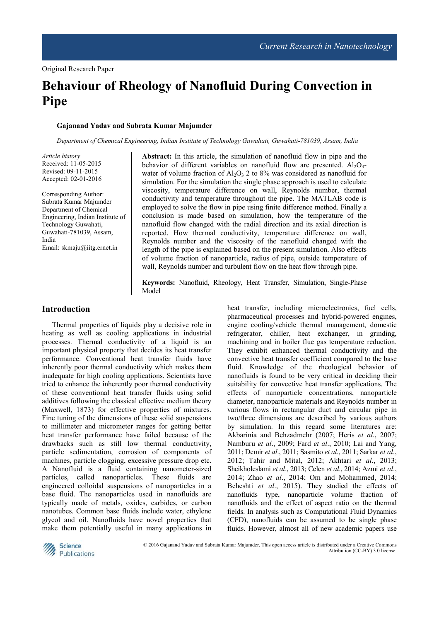# **Behaviour of Rheology of Nanofluid During Convection in Pipe**

#### **Gajanand Yadav and Subrata Kumar Majumder**

*Department of Chemical Engineering, Indian Institute of Technology Guwahati, Guwahati-781039, Assam, India* 

*Article history*  Received: 11-05-2015 Revised: 09-11-2015 Accepted: 02-01-2016

Corresponding Author: Subrata Kumar Majumder Department of Chemical Engineering, Indian Institute of Technology Guwahati, Guwahati-781039, Assam, India Email: skmaju@iitg.ernet.in

**Abstract:** In this article, the simulation of nanofluid flow in pipe and the behavior of different variables on nanofluid flow are presented.  $Al_2O_3$ water of volume fraction of  $Al_2O_3$  2 to 8% was considered as nanofluid for simulation. For the simulation the single phase approach is used to calculate viscosity, temperature difference on wall, Reynolds number, thermal conductivity and temperature throughout the pipe. The MATLAB code is employed to solve the flow in pipe using finite difference method. Finally a conclusion is made based on simulation, how the temperature of the nanofluid flow changed with the radial direction and its axial direction is reported. How thermal conductivity, temperature difference on wall, Reynolds number and the viscosity of the nanofluid changed with the length of the pipe is explained based on the present simulation. Also effects of volume fraction of nanoparticle, radius of pipe, outside temperature of wall, Reynolds number and turbulent flow on the heat flow through pipe.

**Keywords:** Nanofluid, Rheology, Heat Transfer, Simulation, Single-Phase Model

# **Introduction**

Thermal properties of liquids play a decisive role in heating as well as cooling applications in industrial processes. Thermal conductivity of a liquid is an important physical property that decides its heat transfer performance. Conventional heat transfer fluids have inherently poor thermal conductivity which makes them inadequate for high cooling applications. Scientists have tried to enhance the inherently poor thermal conductivity of these conventional heat transfer fluids using solid additives following the classical effective medium theory (Maxwell, 1873) for effective properties of mixtures. Fine tuning of the dimensions of these solid suspensions to millimeter and micrometer ranges for getting better heat transfer performance have failed because of the drawbacks such as still low thermal conductivity, particle sedimentation, corrosion of components of machines, particle clogging, excessive pressure drop etc. A Nanofluid is a fluid containing nanometer-sized particles, called nanoparticles. These fluids are engineered colloidal suspensions of nanoparticles in a base fluid. The nanoparticles used in nanofluids are typically made of metals, oxides, carbides, or carbon nanotubes. Common base fluids include water, ethylene glycol and oil. Nanofluids have novel properties that make them potentially useful in many applications in

heat transfer, including microelectronics, fuel cells, pharmaceutical processes and hybrid-powered engines, engine cooling/vehicle thermal management, domestic refrigerator, chiller, heat exchanger, in grinding, machining and in boiler flue gas temperature reduction. They exhibit enhanced thermal conductivity and the convective heat transfer coefficient compared to the base fluid. Knowledge of the rheological behavior of nanofluids is found to be very critical in deciding their suitability for convective heat transfer applications. The effects of nanoparticle concentrations, nanoparticle diameter, nanoparticle materials and Reynolds number in various flows in rectangular duct and circular pipe in two/three dimensions are described by various authors by simulation. In this regard some literatures are: Akbarinia and Behzadmehr (2007; Heris *et al*., 2007; Namburu *et al*., 2009; Fard *et al*., 2010; Lai and Yang, 2011; Demir *et al*., 2011; Sasmito *et al*., 2011; Sarkar *et al*., 2012; Tahir and Mital, 2012; Akhtari *et al*., 2013; Sheikholeslami *et al*., 2013; Celen *et al*., 2014; Azmi *et al*., 2014; Zhao *et al*., 2014; Om and Mohammed, 2014; Beheshti *et al*., 2015). They studied the effects of nanofluids type, nanoparticle volume fraction of nanofluids and the effect of aspect ratio on the thermal fields. In analysis such as Computational Fluid Dynamics (CFD), nanofluids can be assumed to be single phase fluids. However, almost all of new academic papers use



© 2016 Gajanand Yadav and Subrata Kumar Majumder. This open access article is distributed under a Creative Commons Attribution (CC-BY) 3.0 license.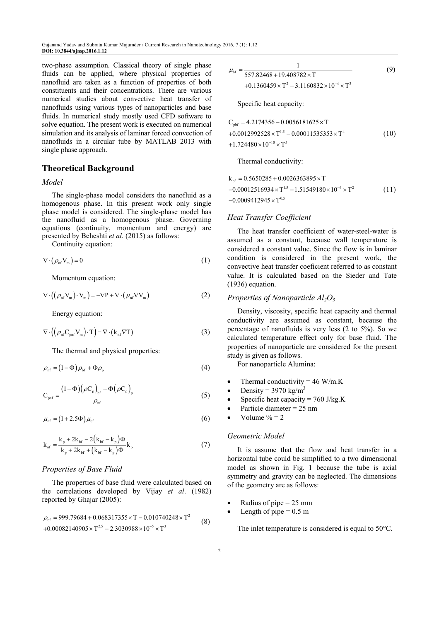two-phase assumption. Classical theory of single phase fluids can be applied, where physical properties of nanofluid are taken as a function of properties of both constituents and their concentrations. There are various numerical studies about convective heat transfer of nanofluids using various types of nanoparticles and base fluids. In numerical study mostly used CFD software to solve equation. The present work is executed on numerical simulation and its analysis of laminar forced convection of nanofluids in a circular tube by MATLAB 2013 with single phase approach.

## **Theoretical Background**

#### *Model*

The single-phase model considers the nanofluid as a homogenous phase. In this present work only single phase model is considered. The single-phase model has the nanofluid as a homogenous phase. Governing equations (continuity, momentum and energy) are presented by Beheshti *et al.* (2015) as follows:

Continuity equation:

$$
\nabla \cdot (\rho_{\rm nf} V_{\rm m}) = 0 \tag{1}
$$

Momentum equation:

$$
\nabla \cdot ((\rho_{\rm nf} V_{\rm m}) \cdot V_{\rm m}) = -\nabla P + \nabla \cdot (\mu_{\rm nf} \nabla V_{\rm m})
$$
 (2)

Energy equation:

$$
\nabla \cdot \left( \left( \rho_{\rm nf} C_{\rm prf} V_{\rm m} \right) \cdot T \right) = \nabla \cdot \left( k_{\rm nf} \nabla T \right) \tag{3}
$$

The thermal and physical properties:

$$
\rho_{\rm nf} = (1 - \Phi) \rho_{\rm bf} + \Phi \rho_{\rm p} \tag{4}
$$

$$
C_{\rm pnf} = \frac{(1 - \Phi) (\rho C_{p})_{\rm bf} + \Phi (\rho C_{p})_{p}}{\rho_{\rm nf}}
$$
(5)

$$
\mu_{\rm nf} = (1 + 2.5\Phi)\,\mu_{\rm bf} \tag{6}
$$

$$
k_{\rm nf} = \frac{k_{\rm p} + 2k_{\rm bf} - 2(k_{\rm bf} - k_{\rm p})\Phi}{k_{\rm p} + 2k_{\rm bf} + (k_{\rm bf} - k_{\rm p})\Phi}k_{\rm b}
$$
 (7)

#### *Properties of Base Fluid*

The properties of base fluid were calculated based on the correlations developed by Vijay *et al*. (1982) reported by Ghajar (2005):

$$
\rho_{\text{bf}} = 999.79684 + 0.068317355 \times T - 0.010740248 \times T^2
$$
  
+0.00082140905 $\times$ T<sup>2.5</sup> - 2.3030988 $\times$ 10<sup>-5</sup> $\times$ T<sup>3</sup> (8)

$$
\mu_{\text{bf}} = \frac{1}{557.82468 + 19.408782 \times T}
$$
(9)  
+0.1360459 × T<sup>2</sup> – 3.1160832 × 10<sup>-4</sup> × T<sup>3</sup>

Specific heat capacity:

$$
C_{\text{pbf}} = 4.2174356 - 0.0056181625 \times T
$$
  
+0.0012992528 × T<sup>1.5</sup> - 0.00011535353 × T<sup>4</sup> (10)  
+1.724480 × 10<sup>-10</sup> × T<sup>5</sup>

Thermal conductivity:

$$
k_{\text{bf}} = 0.5650285 + 0.0026363895 \times T
$$
  
-0.00012516934×T<sup>1.5</sup> -1.51549180×10<sup>-6</sup> × T<sup>2</sup> (11)  
-0.0009412945×T<sup>0.5</sup>

#### *Heat Transfer Coefficient*

The heat transfer coefficient of water-steel-water is assumed as a constant, because wall temperature is considered a constant value. Since the flow is in laminar condition is considered in the present work, the convective heat transfer coeficient referred to as constant value. It is calculated based on the Sieder and Tate (1936) equation.

#### *Properties of Nanoparticle Al2O<sup>3</sup>*

Density, viscosity, specific heat capacity and thermal conductivity are assumed as constant, because the percentage of nanofluids is very less (2 to 5%). So we calculated temperature effect only for base fluid. The properties of nanoparticle are considered for the present study is given as follows.

For nanoparticle Alumina:

- Thermal conductivity =  $46$  W/m.K
- Density =  $3970 \text{ kg/m}^3$
- Specific heat capacity =  $760$  J/kg.K
- Particle diameter  $= 25$  nm
- Volume  $\% = 2$

#### *Geometric Model*

It is assume that the flow and heat transfer in a horizontal tube could be simplified to a two dimensional model as shown in Fig. 1 because the tube is axial symmetry and gravity can be neglected. The dimensions of the geometry are as follows:

- Radius of pipe  $= 25$  mm
- Length of pipe  $= 0.5$  m

The inlet temperature is considered is equal to 50°C.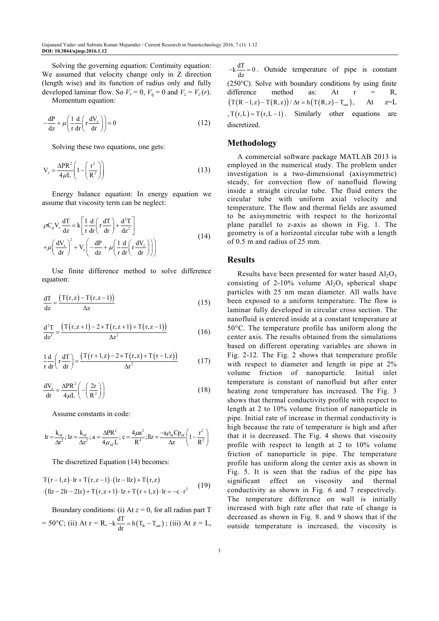Solving the governing equation: Continuity equation: We assumed that velocity change only in Z direction (length wise) and its function of radius only and fully developed laminar flow. So  $V_r = 0$ ,  $V_q = 0$  and  $V_z = V_z(r)$ .

Momentum equation:

$$
-\frac{dP}{dz} + \mu \left( \frac{1}{r} \frac{d}{dr} \left( r \frac{dV_z}{dr} \right) \right) = 0 \tag{12}
$$

Solving these two equations, one gets:

$$
V_z = \frac{\Delta PR^2}{4\mu L} \left( 1 - \left( \frac{r^2}{R^2} \right) \right) \tag{13}
$$

Energy balance equation: In energy equation we assume that viscosity term can be neglect:

$$
\rho C_{p} V_{z} \frac{dT}{dz} = k \left[ \frac{1}{r} \frac{d}{dr} \left( r \frac{dT}{dr} \right) + \frac{d^{2}T}{dz^{2}} \right] + \mu \left( \frac{dV_{z}}{dr} \right)^{2} + V_{z} \left( -\frac{dP}{dz} + \mu \left( \frac{1}{r} \frac{d}{dr} \left( r \frac{dV_{z}}{dr} \right) \right) \right)
$$
(14)

Use finite difference method to solve difference equation:

$$
\frac{dT}{dz} = \frac{(T(r,z) - T(r,z-1))}{\Delta z}
$$
\n(15)

$$
\frac{d^2T}{dz^2} = \frac{(T(r,z+1) - 2 \times T(r,z+1) + T(r,z-1))}{\Delta z^2}
$$
(16)

$$
\frac{1}{r}\frac{d}{dr}\left(r\frac{dT}{dr}\right) = \frac{\left(T(r+1,z) - 2 \times T(r,z) + T(r-1,z)\right)}{\Delta r^2} \tag{17}
$$

$$
\frac{dV_z}{dr} = \frac{\Delta PR^2}{4\mu L} \left( -\left(\frac{2r}{R^2}\right) \right) \tag{18}
$$

Assume constants in code:

$$
lr = \frac{k_{nf}}{\Delta r^2}; \text{ } lz = \frac{k_{nf}}{\Delta z^2}; \text{ } a = \frac{\Delta PR^2}{4\mu_{nf}L}; \text{ } c = \frac{4\mu a^2}{R^4}; \text{ } llz = \frac{-a\rho_{nf}CD_{nf}}{\Delta z} \left(1 - \frac{r^2}{R^2}\right)
$$

The discretized Equation (14) becomes:

$$
T(r-1,z) \cdot lr + T(r,z-1) \cdot (lz-llz) + T(r,z)
$$
  
(
$$
llz-2lr-2lz) + T(r,z+1) \cdot Iz + T(r+1,z) \cdot lr = -c \cdot r^2
$$
 (19)

Boundary conditions: (i) At *z* = 0, for all radius part T = 50°C; (ii) At  $r = R$ ,  $-k\frac{dT}{dr} = h(T_R - T_{out})$ ; (iii) At  $z = L$ ,

 $-k\frac{dT}{dz} = 0$ . Outside temperature of pipe is constant (250°C). Solve with boundary conditions by using finite difference method as: At  $r = R$ ,  $(T(R-1,z) - T(R,z)) / \Delta r = h(T(R,z) - T_{\text{out}})$ , At  $z=L$  $, T(r,L) = T(r,L-1)$ . Similarly other equations are discretized.

## **Methodology**

A commercial software package MATLAB 2013 is employed in the numerical study. The problem under investigation is a two-dimensional (axisymmetric) steady, for convection flow of nanofluid flowing inside a straight circular tube. The fluid enters the circular tube with uniform axial velocity and temperature. The flow and thermal fields are assumed to be axisymmetric with respect to the horizontal plane parallel to z-axis as shown in Fig. 1. The geometry is of a horizontal circular tube with a length of 0.5 m and radius of 25 mm.

#### **Results**

Results have been presented for water based  $Al<sub>2</sub>O<sub>3</sub>$ consisting of 2-10% volume  $Al_2O_3$  spherical shape particles with 25 nm mean diameter. All walls have been exposed to a uniform temperature. The flow is laminar fully developed in circular cross section. The nanofluid is entered inside at a constant temperature at 50°C. The temperature profile has uniform along the center axis. The results obtained from the simulations based on different operating variables are shown in Fig. 2-12. The Fig. 2 shows that temperature profile with respect to diameter and length in pipe at  $2\%$ volume friction of nanoparticle. Initial inlet temperature is constant of nanofluid but after enter heating zone temperature has increased. The Fig. 3 shows that thermal conductivity profile with respect to length at 2 to 10% volume friction of nanoparticle in pipe. Initial rate of increase in thermal conductivity is high because the rate of temperature is high and after that it is decreased. The Fig. 4 shows that viscosity profile with respect to length at 2 to 10% volume friction of nanoparticle in pipe. The temperature profile has uniform along the center axis as shown in Fig. 5. It is seen that the radius of the pipe has significant effect on viscosity and thermal conductivity as shown in Fig. 6 and 7 respectively. The temperature difference on wall is initially increased with high rate after that rate of change is decreased as shown in Fig. 8. and 9 shows that if the outside temperature is increased, the viscosity is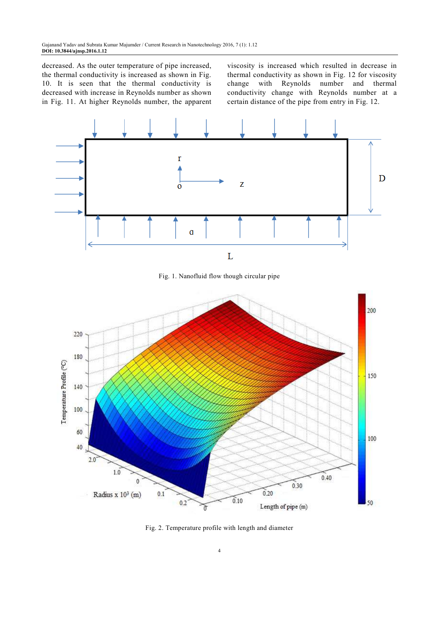decreased. As the outer temperature of pipe increased, the thermal conductivity is increased as shown in Fig. 10. It is seen that the thermal conductivity is decreased with increase in Reynolds number as shown in Fig. 11. At higher Reynolds number, the apparent

viscosity is increased which resulted in decrease in thermal conductivity as shown in Fig. 12 for viscosity change with Reynolds number and thermal conductivity change with Reynolds number at a certain distance of the pipe from entry in Fig. 12.



Fig. 1. Nanofluid flow though circular pipe



Fig. 2. Temperature profile with length and diameter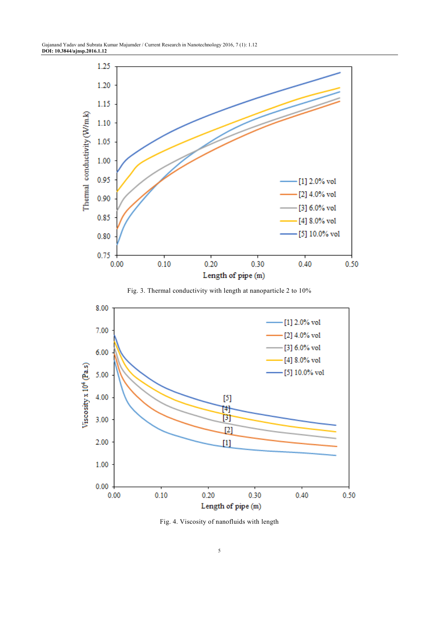

Fig. 3. Thermal conductivity with length at nanoparticle 2 to 10%



Fig. 4. Viscosity of nanofluids with length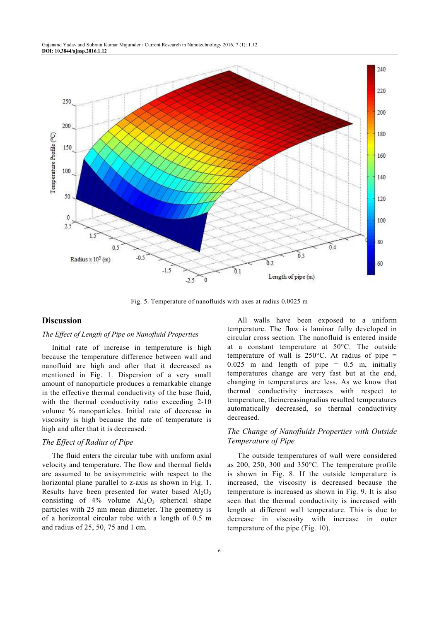

Fig. 5. Temperature of nanofluids with axes at radius 0.0025 m

# **Discussion**

## *The Effect of Length of Pipe on Nanofluid Properties*

Initial rate of increase in temperature is high because the temperature difference between wall and nanofluid are high and after that it decreased as mentioned in Fig. 1. Dispersion of a very small amount of nanoparticle produces a remarkable change in the effective thermal conductivity of the base fluid, with the thermal conductivity ratio exceeding 2-10 volume % nanoparticles. Initial rate of decrease in viscosity is high because the rate of temperature is high and after that it is decreased.

#### *The Effect of Radius of Pipe*

The fluid enters the circular tube with uniform axial velocity and temperature. The flow and thermal fields are assumed to be axisymmetric with respect to the horizontal plane parallel to z-axis as shown in Fig. 1. Results have been presented for water based  $Al_2O_3$ consisting of  $4\%$  volume  $Al_2O_3$  spherical shape particles with 25 nm mean diameter. The geometry is of a horizontal circular tube with a length of 0.5 m and radius of 25, 50, 75 and 1 cm.

All walls have been exposed to a uniform temperature. The flow is laminar fully developed in circular cross section. The nanofluid is entered inside at a constant temperature at 50°C. The outside temperature of wall is  $250^{\circ}$ C. At radius of pipe =  $0.025$  m and length of pipe =  $0.5$  m, initially temperatures change are very fast but at the end, changing in temperatures are less. As we know that thermal conductivity increases with respect to temperature, theincreasingradius resulted temperatures automatically decreased, so thermal conductivity decreased.

# *The Change of Nanofluids Properties with Outside Temperature of Pipe*

The outside temperatures of wall were considered as 200, 250, 300 and 350°C. The temperature profile is shown in Fig. 8. If the outside temperature is increased, the viscosity is decreased because the temperature is increased as shown in Fig. 9. It is also seen that the thermal conductivity is increased with length at different wall temperature. This is due to decrease in viscosity with increase in outer temperature of the pipe (Fig. 10).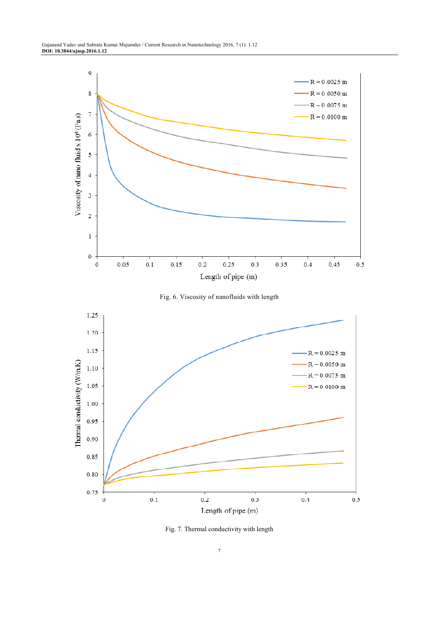





Fig. 7. Thermal conductivity with length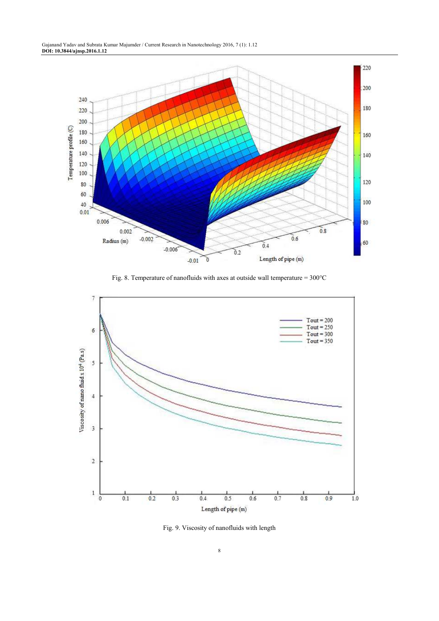

Fig. 8. Temperature of nanofluids with axes at outside wall temperature = 300°C



Fig. 9. Viscosity of nanofluids with length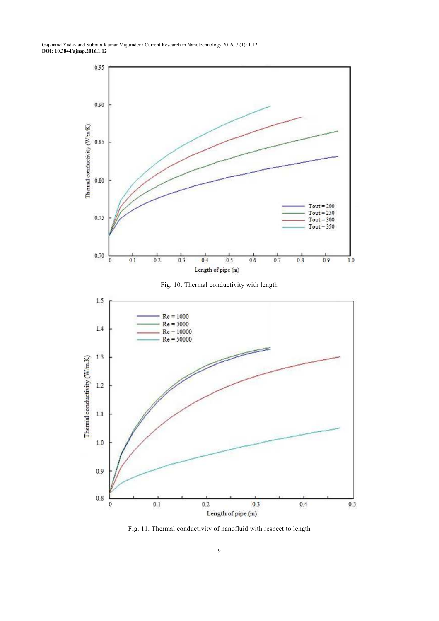

Fig. 11. Thermal conductivity of nanofluid with respect to length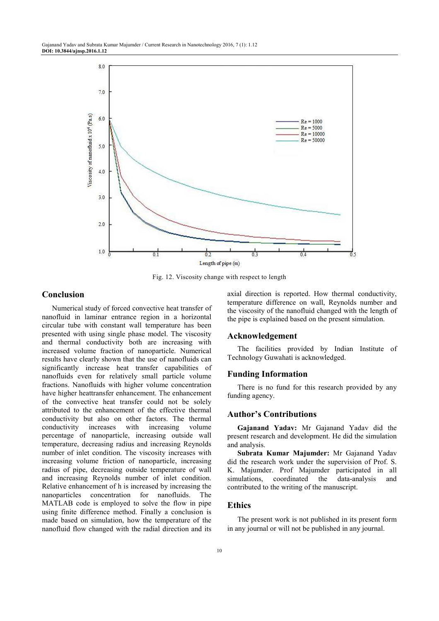

Fig. 12. Viscosity change with respect to length

## **Conclusion**

Numerical study of forced convective heat transfer of nanofluid in laminar entrance region in a horizontal circular tube with constant wall temperature has been presented with using single phase model. The viscosity and thermal conductivity both are increasing with increased volume fraction of nanoparticle. Numerical results have clearly shown that the use of nanofluids can significantly increase heat transfer capabilities of nanofluids even for relatively small particle volume fractions. Nanofluids with higher volume concentration have higher heattransfer enhancement. The enhancement of the convective heat transfer could not be solely attributed to the enhancement of the effective thermal conductivity but also on other factors. The thermal conductivity increases with increasing volume percentage of nanoparticle, increasing outside wall temperature, decreasing radius and increasing Reynolds number of inlet condition. The viscosity increases with increasing volume friction of nanoparticle, increasing radius of pipe, decreasing outside temperature of wall and increasing Reynolds number of inlet condition. Relative enhancement of h is increased by increasing the nanoparticles concentration for nanofluids. The MATLAB code is employed to solve the flow in pipe using finite difference method. Finally a conclusion is made based on simulation, how the temperature of the nanofluid flow changed with the radial direction and its

axial direction is reported. How thermal conductivity, temperature difference on wall, Reynolds number and the viscosity of the nanofluid changed with the length of the pipe is explained based on the present simulation.

## **Acknowledgement**

The facilities provided by Indian Institute of Technology Guwahati is acknowledged.

#### **Funding Information**

There is no fund for this research provided by any funding agency.

#### **Author's Contributions**

**Gajanand Yadav:** Mr Gajanand Yadav did the present research and development. He did the simulation and analysis.

**Subrata Kumar Majumder:** Mr Gajanand Yadav did the research work under the supervision of Prof. S. K. Majumder. Prof Majumder participated in all simulations, coordinated the data-analysis and contributed to the writing of the manuscript.

# **Ethics**

The present work is not published in its present form in any journal or will not be published in any journal.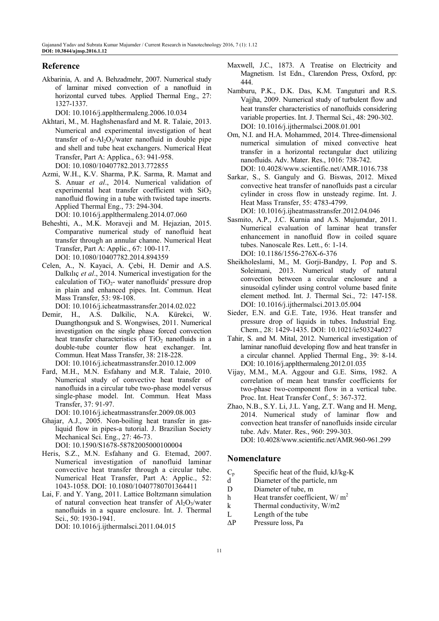# **Reference**

Akbarinia, A. and A. Behzadmehr, 2007. Numerical study of laminar mixed convection of a nanofluid in horizontal curved tubes. Applied Thermal Eng., 27: 1327-1337.

DOI: 10.1016/j.applthermaleng.2006.10.034

- Akhtari, M., M. Haghshenasfard and M. R. Talaie, 2013. Numerical and experimental investigation of heat transfer of α-Al<sub>2</sub>O<sub>3</sub>/water nanofluid in double pipe and shell and tube heat exchangers. Numerical Heat Transfer, Part A: Applica., 63: 941-958. DOI: 10.1080/10407782.2013.772855
- Azmi, W.H., K.V. Sharma, P.K. Sarma, R. Mamat and S. Anuar *et al*., 2014. Numerical validation of experimental heat transfer coefficient with  $SiO<sub>2</sub>$ nanofluid flowing in a tube with twisted tape inserts. Applied Thermal Eng., 73: 294-304.

DOI: 10.1016/j.applthermaleng.2014.07.060

- Beheshti, A., M.K. Moraveji and M. Hejazian, 2015. Comparative numerical study of nanofluid heat transfer through an annular channe. Numerical Heat Transfer, Part A: Applic., 67: 100-117. DOI: 10.1080/10407782.2014.894359
- Celen, A., N. Kayaci, A. Çebi, H. Demir and A.S. Dalkılıç *et al*., 2014. Numerical investigation for the calculation of  $TiO<sub>2</sub>$ - water nanofluids' pressure drop in plain and enhanced pipes. Int. Commun. Heat Mass Transfer, 53: 98-108.

DOI: 10.1016/j.icheatmasstransfer.2014.02.022

- Demir, H., A.S. Dalkilic, N.A. Kürekci, W. Duangthongsuk and S. Wongwises, 2011. Numerical investigation on the single phase forced convection heat transfer characteristics of  $TiO<sub>2</sub>$  nanofluids in a double-tube counter flow heat exchanger. Int. Commun. Heat Mass Transfer, 38: 218-228. DOI: 10.1016/j.icheatmasstransfer.2010.12.009
- Fard, M.H., M.N. Esfahany and M.R. Talaie, 2010. Numerical study of convective heat transfer of nanofluids in a circular tube two-phase model versus single-phase model. Int. Commun. Heat Mass Transfer, 37: 91-97.

DOI: 10.1016/j.icheatmasstransfer.2009.08.003

- Ghajar, A.J., 2005. Non-boiling heat transfer in gasliquid flow in pipes-a tutorial. J. Brazilian Society Mechanical Sci. Eng., 27: 46-73. DOI: 10.1590/S1678-58782005000100004
- Heris, S.Z., M.N. Esfahany and G. Etemad, 2007. Numerical investigation of nanofluid laminar convective heat transfer through a circular tube. Numerical Heat Transfer, Part A: Applic., 52: 1043-1058. DOI: 10.1080/10407780701364411
- Lai, F. and Y. Yang, 2011. Lattice Boltzmann simulation of natural convection heat transfer of  $Al_2O_3/water$ nanofluids in a square enclosure. Int. J. Thermal Sci., 50: 1930-1941. DOI: 10.1016/j.ijthermalsci.2011.04.015
- Maxwell, J.C., 1873. A Treatise on Electricity and Magnetism. 1st Edn., Clarendon Press, Oxford, pp: 444.
- Namburu, P.K., D.K. Das, K.M. Tanguturi and R.S. Vajjha, 2009. Numerical study of turbulent flow and heat transfer characteristics of nanofluids considering variable properties. Int. J. Thermal Sci., 48: 290-302. DOI: 10.1016/j.ijthermalsci.2008.01.001
- Om, N.I. and H.A. Mohammed, 2014. Three-dimensional numerical simulation of mixed convective heat transfer in a horizontal rectangular duct utilizing nanofluids. Adv. Mater. Res., 1016: 738-742. DOI: 10.4028/www.scientific.net/AMR.1016.738
- Sarkar, S., S. Ganguly and G. Biswas, 2012. Mixed convective heat transfer of nanofluids past a circular cylinder in cross flow in unsteady regime. Int. J. Heat Mass Transfer, 55: 4783-4799. DOI: 10.1016/j.ijheatmasstransfer.2012.04.046
- Sasmito, A.P., J.C. Kurnia and A.S. Mujumdar, 2011. Numerical evaluation of laminar heat transfer enhancement in nanofluid flow in coiled square tubes. Nanoscale Res. Lett., 6: 1-14. DOI: 10.1186/1556-276X-6-376
- Sheikholeslami, M., M. Gorji-Bandpy, I. Pop and S. Soleimani, 2013. Numerical study of natural convection between a circular enclosure and a sinusoidal cylinder using control volume based finite element method. Int. J. Thermal Sci., 72: 147-158. DOI: 10.1016/j.ijthermalsci.2013.05.004
- Sieder, E.N. and G.E. Tate, 1936. Heat transfer and pressure drop of liquids in tubes. Industrial Eng. Chem., 28: 1429-1435. DOI: 10.1021/ie50324a027
- Tahir, S. and M. Mital, 2012. Numerical investigation of laminar nanofluid developing flow and heat transfer in a circular channel. Applied Thermal Eng., 39: 8-14. DOI: 10.1016/j.applthermaleng.2012.01.035
- Vijay, M.M., M.A. Aggour and G.E. Sims, 1982. A correlation of mean heat transfer coefficients for two-phase two-component flow in a vertical tube. Proc. Int. Heat Transfer Conf., 5: 367-372.
- Zhao, N.B., S.Y. Li, J.L. Yang, Z.T. Wang and H. Meng, 2014. Numerical study of laminar flow and convection heat transfer of nanofluids inside circular tube. Adv. Mater. Res., 960: 299-303. DOI: 10.4028/www.scientific.net/AMR.960-961.299

## **Nomenclature**

- $C_p$  Specific heat of the fluid, kJ/kg-K<br>d Diameter of the particle, nm
- Diameter of the particle, nm
- D Diameter of tube, m
- h Heat transfer coefficient,  $W/m^2$
- k Thermal conductivity, W/m2
- L Length of the tube
- ∆P Pressure loss, Pa